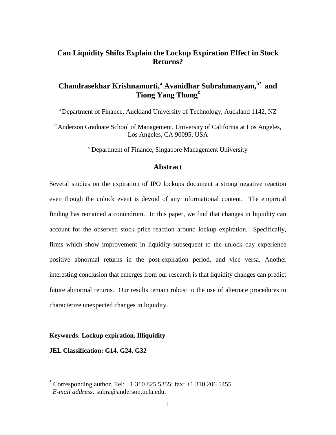# **Can Liquidity Shifts Explain the Lockup Expiration Effect in Stock Returns?**

# **Chandrasekhar Krishnamurti,<sup>a</sup> Avanidhar Subrahmanyam,b\* and Tiong Yang Thong<sup>c</sup>**

<sup>a</sup> Department of Finance, Auckland University of Technology, Auckland 1142, NZ

<sup>b</sup> Anderson Graduate School of Management, University of California at Los Angeles, Los Angeles, CA 90095, USA

<sup>c</sup> Department of Finance, Singapore Management University

# **Abstract**

Several studies on the expiration of IPO lockups document a strong negative reaction even though the unlock event is devoid of any informational content. The empirical finding has remained a conundrum. In this paper, we find that changes in liquidity can account for the observed stock price reaction around lockup expiration. Specifically, firms which show improvement in liquidity subsequent to the unlock day experience positive abnormal returns in the post-expiration period, and vice versa. Another interesting conclusion that emerges from our research is that liquidity changes can predict future abnormal returns. Our results remain robust to the use of alternate procedures to characterize unexpected changes in liquidity.

## **Keywords: Lockup expiration, Illiquidity**

**JEL Classification: G14, G24, G32**

 $\overline{a}$ 

Corresponding author. Tel:  $+1$  310 825 5355; fax:  $+1$  310 206 5455 *E-mail address:* subra@anderson.ucla.edu.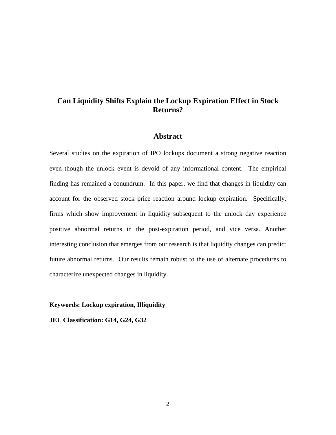# **Can Liquidity Shifts Explain the Lockup Expiration Effect in Stock Returns?**

## **Abstract**

Several studies on the expiration of IPO lockups document a strong negative reaction even though the unlock event is devoid of any informational content. The empirical finding has remained a conundrum. In this paper, we find that changes in liquidity can account for the observed stock price reaction around lockup expiration. Specifically, firms which show improvement in liquidity subsequent to the unlock day experience positive abnormal returns in the post-expiration period, and vice versa. Another interesting conclusion that emerges from our research is that liquidity changes can predict future abnormal returns. Our results remain robust to the use of alternate procedures to characterize unexpected changes in liquidity.

**Keywords: Lockup expiration, Illiquidity**

**JEL Classification: G14, G24, G32**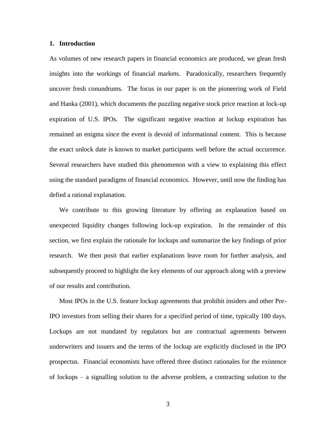## **1. Introduction**

As volumes of new research papers in financial economics are produced, we glean fresh insights into the workings of financial markets. Paradoxically, researchers frequently uncover fresh conundrums. The focus in our paper is on the pioneering work of Field and Hanka (2001), which documents the puzzling negative stock price reaction at lock-up expiration of U.S. IPOs. The significant negative reaction at lockup expiration has remained an enigma since the event is devoid of informational content. This is because the exact unlock date is known to market participants well before the actual occurrence. Several researchers have studied this phenomenon with a view to explaining this effect using the standard paradigms of financial economics. However, until now the finding has defied a rational explanation.

We contribute to this growing literature by offering an explanation based on unexpected liquidity changes following lock-up expiration. In the remainder of this section, we first explain the rationale for lockups and summarize the key findings of prior research. We then posit that earlier explanations leave room for further analysis, and subsequently proceed to highlight the key elements of our approach along with a preview of our results and contribution.

Most IPOs in the U.S. feature lockup agreements that prohibit insiders and other Pre-IPO investors from selling their shares for a specified period of time, typically 180 days. Lockups are not mandated by regulators but are contractual agreements between underwriters and issuers and the terms of the lockup are explicitly disclosed in the IPO prospectus. Financial economists have offered three distinct rationales for the existence of lockups – a signalling solution to the adverse problem, a contracting solution to the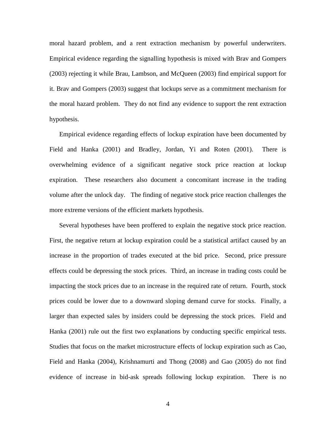moral hazard problem, and a rent extraction mechanism by powerful underwriters. Empirical evidence regarding the signalling hypothesis is mixed with Brav and Gompers (2003) rejecting it while Brau, Lambson, and McQueen (2003) find empirical support for it. Brav and Gompers (2003) suggest that lockups serve as a commitment mechanism for the moral hazard problem. They do not find any evidence to support the rent extraction hypothesis.

Empirical evidence regarding effects of lockup expiration have been documented by Field and Hanka (2001) and Bradley, Jordan, Yi and Roten (2001). There is overwhelming evidence of a significant negative stock price reaction at lockup expiration. These researchers also document a concomitant increase in the trading volume after the unlock day. The finding of negative stock price reaction challenges the more extreme versions of the efficient markets hypothesis.

Several hypotheses have been proffered to explain the negative stock price reaction. First, the negative return at lockup expiration could be a statistical artifact caused by an increase in the proportion of trades executed at the bid price. Second, price pressure effects could be depressing the stock prices. Third, an increase in trading costs could be impacting the stock prices due to an increase in the required rate of return. Fourth, stock prices could be lower due to a downward sloping demand curve for stocks. Finally, a larger than expected sales by insiders could be depressing the stock prices. Field and Hanka (2001) rule out the first two explanations by conducting specific empirical tests. Studies that focus on the market microstructure effects of lockup expiration such as Cao, Field and Hanka (2004), Krishnamurti and Thong (2008) and Gao (2005) do not find evidence of increase in bid-ask spreads following lockup expiration. There is no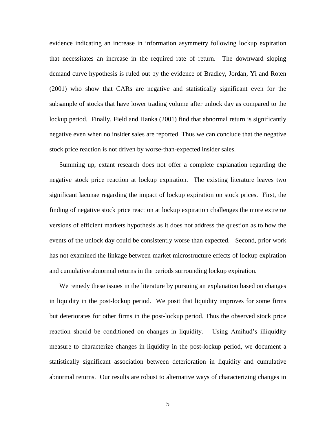evidence indicating an increase in information asymmetry following lockup expiration that necessitates an increase in the required rate of return. The downward sloping demand curve hypothesis is ruled out by the evidence of Bradley, Jordan, Yi and Roten (2001) who show that CARs are negative and statistically significant even for the subsample of stocks that have lower trading volume after unlock day as compared to the lockup period. Finally, Field and Hanka (2001) find that abnormal return is significantly negative even when no insider sales are reported. Thus we can conclude that the negative stock price reaction is not driven by worse-than-expected insider sales.

Summing up, extant research does not offer a complete explanation regarding the negative stock price reaction at lockup expiration. The existing literature leaves two significant lacunae regarding the impact of lockup expiration on stock prices. First, the finding of negative stock price reaction at lockup expiration challenges the more extreme versions of efficient markets hypothesis as it does not address the question as to how the events of the unlock day could be consistently worse than expected. Second, prior work has not examined the linkage between market microstructure effects of lockup expiration and cumulative abnormal returns in the periods surrounding lockup expiration.

We remedy these issues in the literature by pursuing an explanation based on changes in liquidity in the post-lockup period. We posit that liquidity improves for some firms but deteriorates for other firms in the post-lockup period. Thus the observed stock price reaction should be conditioned on changes in liquidity. Using Amihud's illiquidity measure to characterize changes in liquidity in the post-lockup period, we document a statistically significant association between deterioration in liquidity and cumulative abnormal returns. Our results are robust to alternative ways of characterizing changes in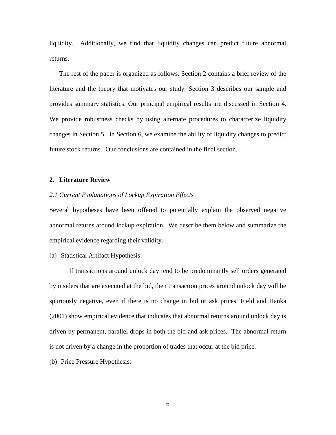liquidity. Additionally, we find that liquidity changes can predict future abnormal returns.

The rest of the paper is organized as follows. Section 2 contains a brief review of the literature and the theory that motivates our study. Section 3 describes our sample and provides summary statistics. Our principal empirical results are discussed in Section 4. We provide robustness checks by using alternate procedures to characterize liquidity changes in Section 5. In Section 6, we examine the ability of liquidity changes to predict future stock returns. Our conclusions are contained in the final section.

## **2. Literature Review**

## *2.1 Current Explanations of Lockup Expiration Effects*

Several hypotheses have been offered to potentially explain the observed negative abnormal returns around lockup expiration. We describe them below and summarize the empirical evidence regarding their validity.

(a) Statistical Artifact Hypothesis:

If transactions around unlock day tend to be predominantly sell orders generated by insiders that are executed at the bid, then transaction prices around unlock day will be spuriously negative, even if there is no change in bid or ask prices. Field and Hanka (2001) show empirical evidence that indicates that abnormal returns around unlock day is driven by permanent, parallel drops in both the bid and ask prices. The abnormal return is not driven by a change in the proportion of trades that occur at the bid price.

(b) Price Pressure Hypothesis: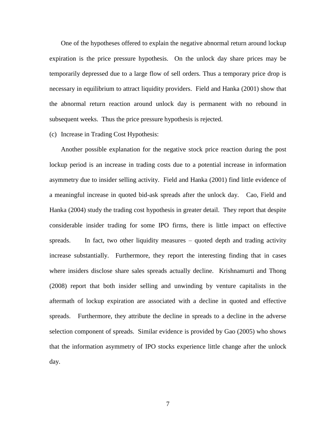One of the hypotheses offered to explain the negative abnormal return around lockup expiration is the price pressure hypothesis. On the unlock day share prices may be temporarily depressed due to a large flow of sell orders. Thus a temporary price drop is necessary in equilibrium to attract liquidity providers. Field and Hanka (2001) show that the abnormal return reaction around unlock day is permanent with no rebound in subsequent weeks. Thus the price pressure hypothesis is rejected.

## (c) Increase in Trading Cost Hypothesis:

Another possible explanation for the negative stock price reaction during the post lockup period is an increase in trading costs due to a potential increase in information asymmetry due to insider selling activity. Field and Hanka (2001) find little evidence of a meaningful increase in quoted bid-ask spreads after the unlock day. Cao, Field and Hanka (2004) study the trading cost hypothesis in greater detail. They report that despite considerable insider trading for some IPO firms, there is little impact on effective spreads. In fact, two other liquidity measures – quoted depth and trading activity increase substantially. Furthermore, they report the interesting finding that in cases where insiders disclose share sales spreads actually decline. Krishnamurti and Thong (2008) report that both insider selling and unwinding by venture capitalists in the aftermath of lockup expiration are associated with a decline in quoted and effective spreads. Furthermore, they attribute the decline in spreads to a decline in the adverse selection component of spreads. Similar evidence is provided by Gao (2005) who shows that the information asymmetry of IPO stocks experience little change after the unlock day.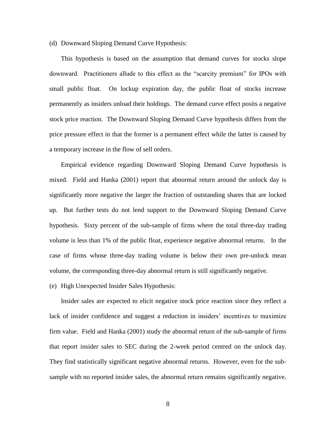### (d) Downward Sloping Demand Curve Hypothesis:

This hypothesis is based on the assumption that demand curves for stocks slope downward. Practitioners allude to this effect as the "scarcity premium" for IPOs with small public float. On lockup expiration day, the public float of stocks increase permanently as insiders unload their holdings. The demand curve effect posits a negative stock price reaction. The Downward Sloping Demand Curve hypothesis differs from the price pressure effect in that the former is a permanent effect while the latter is caused by a temporary increase in the flow of sell orders.

Empirical evidence regarding Downward Sloping Demand Curve hypothesis is mixed. Field and Hanka (2001) report that abnormal return around the unlock day is significantly more negative the larger the fraction of outstanding shares that are locked up. But further tests do not lend support to the Downward Sloping Demand Curve hypothesis. Sixty percent of the sub-sample of firms where the total three-day trading volume is less than 1% of the public float, experience negative abnormal returns. In the case of firms whose three-day trading volume is below their own pre-unlock mean volume, the corresponding three-day abnormal return is still significantly negative.

### (e) High Unexpected Insider Sales Hypothesis:

Insider sales are expected to elicit negative stock price reaction since they reflect a lack of insider confidence and suggest a reduction in insiders' incentives to maximize firm value. Field and Hanka (2001) study the abnormal return of the sub-sample of firms that report insider sales to SEC during the 2-week period centred on the unlock day. They find statistically significant negative abnormal returns. However, even for the subsample with no reported insider sales, the abnormal return remains significantly negative.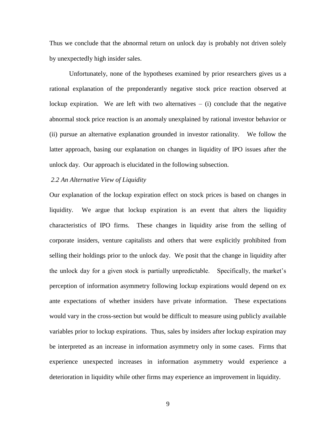Thus we conclude that the abnormal return on unlock day is probably not driven solely by unexpectedly high insider sales.

Unfortunately, none of the hypotheses examined by prior researchers gives us a rational explanation of the preponderantly negative stock price reaction observed at lockup expiration. We are left with two alternatives  $-$  (i) conclude that the negative abnormal stock price reaction is an anomaly unexplained by rational investor behavior or (ii) pursue an alternative explanation grounded in investor rationality. We follow the latter approach, basing our explanation on changes in liquidity of IPO issues after the unlock day. Our approach is elucidated in the following subsection.

## *2.2 An Alternative View of Liquidity*

Our explanation of the lockup expiration effect on stock prices is based on changes in liquidity. We argue that lockup expiration is an event that alters the liquidity characteristics of IPO firms. These changes in liquidity arise from the selling of corporate insiders, venture capitalists and others that were explicitly prohibited from selling their holdings prior to the unlock day. We posit that the change in liquidity after the unlock day for a given stock is partially unpredictable. Specifically, the market's perception of information asymmetry following lockup expirations would depend on ex ante expectations of whether insiders have private information. These expectations would vary in the cross-section but would be difficult to measure using publicly available variables prior to lockup expirations. Thus, sales by insiders after lockup expiration may be interpreted as an increase in information asymmetry only in some cases. Firms that experience unexpected increases in information asymmetry would experience a deterioration in liquidity while other firms may experience an improvement in liquidity.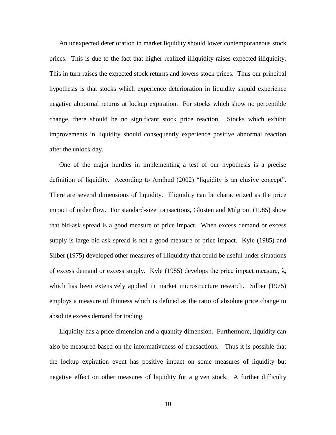An unexpected deterioration in market liquidity should lower contemporaneous stock prices. This is due to the fact that higher realized illiquidity raises expected illiquidity. This in turn raises the expected stock returns and lowers stock prices. Thus our principal hypothesis is that stocks which experience deterioration in liquidity should experience negative abnormal returns at lockup expiration. For stocks which show no perceptible change, there should be no significant stock price reaction. Stocks which exhibit improvements in liquidity should consequently experience positive abnormal reaction after the unlock day.

One of the major hurdles in implementing a test of our hypothesis is a precise definition of liquidity. According to Amihud (2002) "liquidity is an elusive concept". There are several dimensions of liquidity. Illiquidity can be characterized as the price impact of order flow. For standard-size transactions, Glosten and Milgrom (1985) show that bid-ask spread is a good measure of price impact. When excess demand or excess supply is large bid-ask spread is not a good measure of price impact. Kyle (1985) and Silber (1975) developed other measures of illiquidity that could be useful under situations of excess demand or excess supply. Kyle (1985) develops the price impact measure, λ, which has been extensively applied in market microstructure research. Silber (1975) employs a measure of thinness which is defined as the ratio of absolute price change to absolute excess demand for trading.

Liquidity has a price dimension and a quantity dimension. Furthermore, liquidity can also be measured based on the informativeness of transactions. Thus it is possible that the lockup expiration event has positive impact on some measures of liquidity but negative effect on other measures of liquidity for a given stock. A further difficulty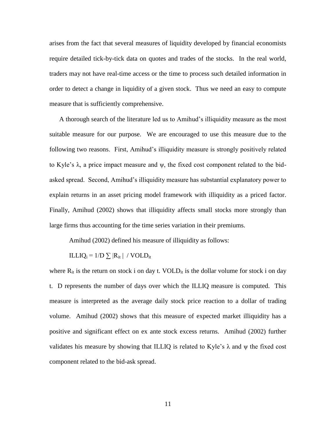arises from the fact that several measures of liquidity developed by financial economists require detailed tick-by-tick data on quotes and trades of the stocks. In the real world, traders may not have real-time access or the time to process such detailed information in order to detect a change in liquidity of a given stock. Thus we need an easy to compute measure that is sufficiently comprehensive.

A thorough search of the literature led us to Amihud's illiquidity measure as the most suitable measure for our purpose. We are encouraged to use this measure due to the following two reasons. First, Amihud's illiquidity measure is strongly positively related to Kyle's  $\lambda$ , a price impact measure and  $\psi$ , the fixed cost component related to the bidasked spread. Second, Amihud's illiquidity measure has substantial explanatory power to explain returns in an asset pricing model framework with illiquidity as a priced factor. Finally, Amihud (2002) shows that illiquidity affects small stocks more strongly than large firms thus accounting for the time series variation in their premiums.

Amihud (2002) defined his measure of illiquidity as follows:

ILLIQ<sub>i</sub> =  $1/D \sum |R_{it}|$  / VOLD<sub>it</sub>

where  $R_{it}$  is the return on stock i on day t. VOLD<sub>it</sub> is the dollar volume for stock i on day t. D represents the number of days over which the ILLIQ measure is computed. This measure is interpreted as the average daily stock price reaction to a dollar of trading volume. Amihud (2002) shows that this measure of expected market illiquidity has a positive and significant effect on ex ante stock excess returns. Amihud (2002) further validates his measure by showing that ILLIQ is related to Kyle's  $\lambda$  and  $\psi$  the fixed cost component related to the bid-ask spread.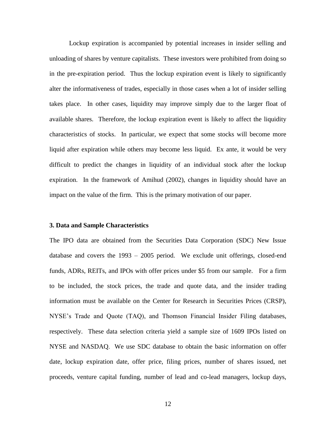Lockup expiration is accompanied by potential increases in insider selling and unloading of shares by venture capitalists. These investors were prohibited from doing so in the pre-expiration period. Thus the lockup expiration event is likely to significantly alter the informativeness of trades, especially in those cases when a lot of insider selling takes place. In other cases, liquidity may improve simply due to the larger float of available shares. Therefore, the lockup expiration event is likely to affect the liquidity characteristics of stocks. In particular, we expect that some stocks will become more liquid after expiration while others may become less liquid. Ex ante, it would be very difficult to predict the changes in liquidity of an individual stock after the lockup expiration. In the framework of Amihud (2002), changes in liquidity should have an impact on the value of the firm. This is the primary motivation of our paper.

## **3. Data and Sample Characteristics**

The IPO data are obtained from the Securities Data Corporation (SDC) New Issue database and covers the 1993 – 2005 period. We exclude unit offerings, closed-end funds, ADRs, REITs, and IPOs with offer prices under \$5 from our sample. For a firm to be included, the stock prices, the trade and quote data, and the insider trading information must be available on the Center for Research in Securities Prices (CRSP), NYSE's Trade and Quote (TAQ), and Thomson Financial Insider Filing databases, respectively. These data selection criteria yield a sample size of 1609 IPOs listed on NYSE and NASDAQ. We use SDC database to obtain the basic information on offer date, lockup expiration date, offer price, filing prices, number of shares issued, net proceeds, venture capital funding, number of lead and co-lead managers, lockup days,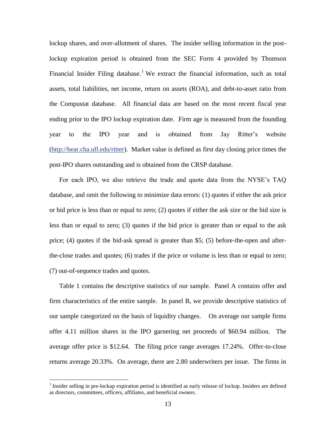lockup shares, and over-allotment of shares. The insider selling information in the postlockup expiration period is obtained from the SEC Form 4 provided by Thomson Financial Insider Filing database.<sup>1</sup> We extract the financial information, such as total assets, total liabilities, net income, return on assets (ROA), and debt-to-asset ratio from the Compustat database. All financial data are based on the most recent fiscal year ending prior to the IPO lockup expiration date. Firm age is measured from the founding year to the IPO year and is obtained from Jay Ritter's website [\(http://bear.cba.ufl.edu/ritter\)](http://bear.cba.ufl.edu/ritter). Market value is defined as first day closing price times the post-IPO shares outstanding and is obtained from the CRSP database.

For each IPO, we also retrieve the trade and quote data from the NYSE's TAQ database, and omit the following to minimize data errors: (1) quotes if either the ask price or bid price is less than or equal to zero; (2) quotes if either the ask size or the bid size is less than or equal to zero; (3) quotes if the bid price is greater than or equal to the ask price; (4) quotes if the bid-ask spread is greater than \$5; (5) before-the-open and afterthe-close trades and quotes; (6) trades if the price or volume is less than or equal to zero; (7) out-of-sequence trades and quotes.

Table 1 contains the descriptive statistics of our sample. Panel A contains offer and firm characteristics of the entire sample. In panel B, we provide descriptive statistics of our sample categorized on the basis of liquidity changes. On average our sample firms offer 4.11 million shares in the IPO garnering net proceeds of \$60.94 million. The average offer price is \$12.64. The filing price range averages 17.24%. Offer-to-close returns average 20.33%. On average, there are 2.80 underwriters per issue. The firms in

 $\overline{a}$ 

 $<sup>1</sup>$  Insider selling in pre-lockup expiration period is identified as early release of lockup. Insiders are defined</sup> as directors, committees, officers, affiliates, and beneficial owners.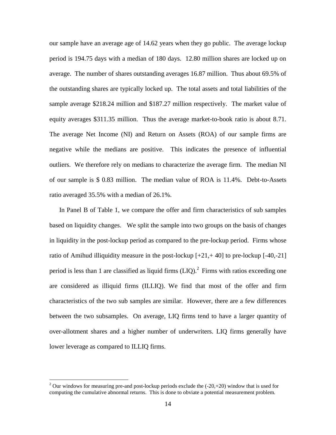our sample have an average age of 14.62 years when they go public. The average lockup period is 194.75 days with a median of 180 days. 12.80 million shares are locked up on average. The number of shares outstanding averages 16.87 million. Thus about 69.5% of the outstanding shares are typically locked up. The total assets and total liabilities of the sample average \$218.24 million and \$187.27 million respectively. The market value of equity averages \$311.35 million. Thus the average market-to-book ratio is about 8.71. The average Net Income (NI) and Return on Assets (ROA) of our sample firms are negative while the medians are positive. This indicates the presence of influential outliers. We therefore rely on medians to characterize the average firm. The median NI of our sample is \$ 0.83 million. The median value of ROA is 11.4%. Debt-to-Assets ratio averaged 35.5% with a median of 26.1%.

In Panel B of Table 1, we compare the offer and firm characteristics of sub samples based on liquidity changes. We split the sample into two groups on the basis of changes in liquidity in the post-lockup period as compared to the pre-lockup period. Firms whose ratio of Amihud illiquidity measure in the post-lockup  $[+21, +40]$  to pre-lockup  $[-40, -21]$ period is less than 1 are classified as liquid firms  $(LIQ)$ .<sup>2</sup> Firms with ratios exceeding one are considered as illiquid firms (ILLIQ). We find that most of the offer and firm characteristics of the two sub samples are similar. However, there are a few differences between the two subsamples. On average, LIQ firms tend to have a larger quantity of over-allotment shares and a higher number of underwriters. LIQ firms generally have lower leverage as compared to ILLIQ firms.

 $\overline{a}$ 

<sup>&</sup>lt;sup>2</sup> Our windows for measuring pre-and post-lockup periods exclude the  $(-20,+20)$  window that is used for computing the cumulative abnormal returns. This is done to obviate a potential measurement problem.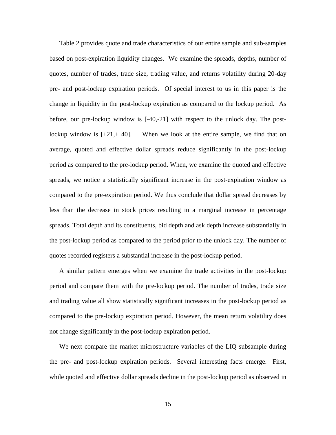Table 2 provides quote and trade characteristics of our entire sample and sub-samples based on post-expiration liquidity changes. We examine the spreads, depths, number of quotes, number of trades, trade size, trading value, and returns volatility during 20-day pre- and post-lockup expiration periods. Of special interest to us in this paper is the change in liquidity in the post-lockup expiration as compared to the lockup period. As before, our pre-lockup window is [-40,-21] with respect to the unlock day. The postlockup window is  $[-21, 40]$ . When we look at the entire sample, we find that on average, quoted and effective dollar spreads reduce significantly in the post-lockup period as compared to the pre-lockup period. When, we examine the quoted and effective spreads, we notice a statistically significant increase in the post-expiration window as compared to the pre-expiration period. We thus conclude that dollar spread decreases by less than the decrease in stock prices resulting in a marginal increase in percentage spreads. Total depth and its constituents, bid depth and ask depth increase substantially in the post-lockup period as compared to the period prior to the unlock day. The number of quotes recorded registers a substantial increase in the post-lockup period.

A similar pattern emerges when we examine the trade activities in the post-lockup period and compare them with the pre-lockup period. The number of trades, trade size and trading value all show statistically significant increases in the post-lockup period as compared to the pre-lockup expiration period. However, the mean return volatility does not change significantly in the post-lockup expiration period.

We next compare the market microstructure variables of the LIQ subsample during the pre- and post-lockup expiration periods. Several interesting facts emerge. First, while quoted and effective dollar spreads decline in the post-lockup period as observed in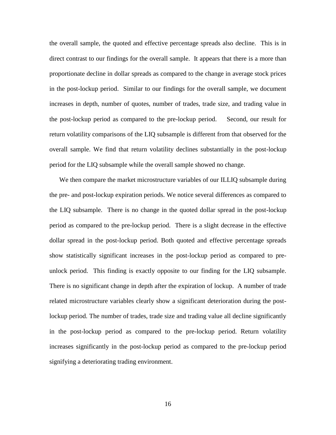the overall sample, the quoted and effective percentage spreads also decline. This is in direct contrast to our findings for the overall sample. It appears that there is a more than proportionate decline in dollar spreads as compared to the change in average stock prices in the post-lockup period. Similar to our findings for the overall sample, we document increases in depth, number of quotes, number of trades, trade size, and trading value in the post-lockup period as compared to the pre-lockup period. Second, our result for return volatility comparisons of the LIQ subsample is different from that observed for the overall sample. We find that return volatility declines substantially in the post-lockup period for the LIQ subsample while the overall sample showed no change.

We then compare the market microstructure variables of our ILLIQ subsample during the pre- and post-lockup expiration periods. We notice several differences as compared to the LIQ subsample. There is no change in the quoted dollar spread in the post-lockup period as compared to the pre-lockup period. There is a slight decrease in the effective dollar spread in the post-lockup period. Both quoted and effective percentage spreads show statistically significant increases in the post-lockup period as compared to preunlock period. This finding is exactly opposite to our finding for the LIQ subsample. There is no significant change in depth after the expiration of lockup. A number of trade related microstructure variables clearly show a significant deterioration during the postlockup period. The number of trades, trade size and trading value all decline significantly in the post-lockup period as compared to the pre-lockup period. Return volatility increases significantly in the post-lockup period as compared to the pre-lockup period signifying a deteriorating trading environment.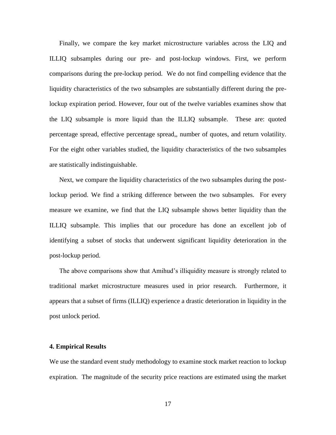Finally, we compare the key market microstructure variables across the LIQ and ILLIQ subsamples during our pre- and post-lockup windows. First, we perform comparisons during the pre-lockup period. We do not find compelling evidence that the liquidity characteristics of the two subsamples are substantially different during the prelockup expiration period. However, four out of the twelve variables examines show that the LIQ subsample is more liquid than the ILLIQ subsample. These are: quoted percentage spread, effective percentage spread,, number of quotes, and return volatility. For the eight other variables studied, the liquidity characteristics of the two subsamples are statistically indistinguishable.

Next, we compare the liquidity characteristics of the two subsamples during the postlockup period. We find a striking difference between the two subsamples. For every measure we examine, we find that the LIQ subsample shows better liquidity than the ILLIQ subsample. This implies that our procedure has done an excellent job of identifying a subset of stocks that underwent significant liquidity deterioration in the post-lockup period.

The above comparisons show that Amihud's illiquidity measure is strongly related to traditional market microstructure measures used in prior research. Furthermore, it appears that a subset of firms (ILLIQ) experience a drastic deterioration in liquidity in the post unlock period.

### **4. Empirical Results**

We use the standard event study methodology to examine stock market reaction to lockup expiration. The magnitude of the security price reactions are estimated using the market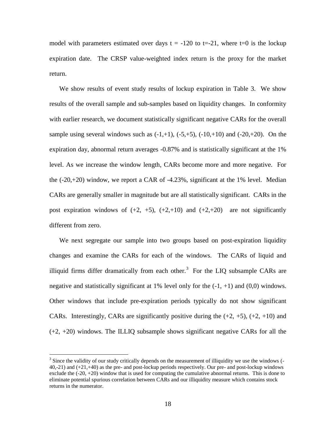model with parameters estimated over days  $t = -120$  to  $t = -21$ , where  $t = 0$  is the lockup expiration date. The CRSP value-weighted index return is the proxy for the market return.

We show results of event study results of lockup expiration in Table 3. We show results of the overall sample and sub-samples based on liquidity changes. In conformity with earlier research, we document statistically significant negative CARs for the overall sample using several windows such as  $(-1,+1)$ ,  $(-5,+5)$ ,  $(-10,+10)$  and  $(-20,+20)$ . On the expiration day, abnormal return averages -0.87% and is statistically significant at the 1% level. As we increase the window length, CARs become more and more negative. For the  $(-20,+20)$  window, we report a CAR of  $-4.23\%$ , significant at the 1% level. Median CARs are generally smaller in magnitude but are all statistically significant. CARs in the post expiration windows of  $(+2, +5)$ ,  $(+2, +10)$  and  $(+2, +20)$  are not significantly different from zero.

We next segregate our sample into two groups based on post-expiration liquidity changes and examine the CARs for each of the windows. The CARs of liquid and illiquid firms differ dramatically from each other.<sup>3</sup> For the LIQ subsample CARs are negative and statistically significant at 1% level only for the  $(-1, +1)$  and  $(0,0)$  windows. Other windows that include pre-expiration periods typically do not show significant CARs. Interestingly, CARs are significantly positive during the  $(+2, +5)$ ,  $(+2, +10)$  and (+2, +20) windows. The ILLIQ subsample shows significant negative CARs for all the

 $\overline{a}$ 

 $3$  Since the validity of our study critically depends on the measurement of illiquidity we use the windows  $($ 40,-21) and (+21,+40) as the pre- and post-lockup periods respectively. Our pre- and post-lockup windows exclude the  $(-20, +20)$  window that is used for computing the cumulative abnormal returns. This is done to eliminate potential spurious correlation between CARs and our illiquidity measure which contains stock returns in the numerator.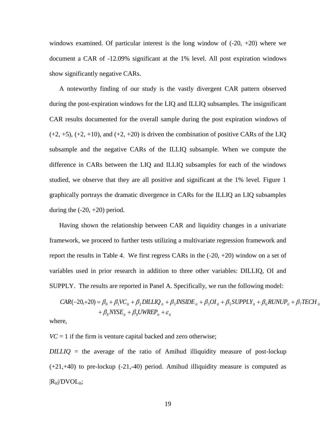windows examined. Of particular interest is the long window of  $(-20, +20)$  where we document a CAR of -12.09% significant at the 1% level. All post expiration windows show significantly negative CARs.

A noteworthy finding of our study is the vastly divergent CAR pattern observed during the post-expiration windows for the LIQ and ILLIQ subsamples. The insignificant CAR results documented for the overall sample during the post expiration windows of  $(+2, +5)$ ,  $(+2, +10)$ , and  $(+2, +20)$  is driven the combination of positive CARs of the LIQ subsample and the negative CARs of the ILLIQ subsample. When we compute the difference in CARs between the LIQ and ILLIQ subsamples for each of the windows studied, we observe that they are all positive and significant at the 1% level. Figure 1 graphically portrays the dramatic divergence in CARs for the ILLIQ an LIQ subsamples during the  $(-20, +20)$  period.

Having shown the relationship between CAR and liquidity changes in a univariate framework, we proceed to further tests utilizing a multivariate regression framework and report the results in Table 4. We first regress CARs in the  $(-20, +20)$  window on a set of variables used in prior research in addition to three other variables: DILLIQ, OI and SUPPLY. The results are reported in Panel A. Specifically, we run the following model:

$$
CAR(-20, +20) = \beta_0 + \beta_1 VC_{it} + \beta_2 DILLIQ_{it} + \beta_3 INSIDE_{it} + \beta_3OI_{it} + \beta_5 SUPPLY_{it} + \beta_6 RUNUP_{it} + \beta_7TECH_{it} + \beta_8 NYSE_{it} + \beta_9 UWREF_{it} + \varepsilon_{it}
$$

where,

 $VC = 1$  if the firm is venture capital backed and zero otherwise;

*DILLIQ* = the average of the ratio of Amihud illiquidity measure of post-lockup  $(+21,+40)$  to pre-lockup  $(-21,-40)$  period. Amihud illiquidity measure is computed as  $|R_{it}|/DVOL_{it};$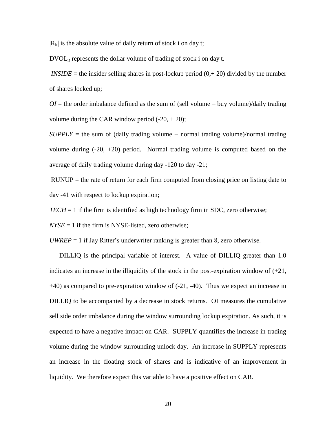$|R_{it}|$  is the absolute value of daily return of stock i on day t;

 $DVOL_{it}$  represents the dollar volume of trading of stock i on day t.

*INSIDE* = the insider selling shares in post-lockup period  $(0, +20)$  divided by the number of shares locked up;

 $OI =$  the order imbalance defined as the sum of (sell volume – buy volume)/daily trading volume during the CAR window period  $(-20, +20)$ ;

 $SUPPLY =$  the sum of (daily trading volume – normal trading volume)/normal trading volume during  $(-20, +20)$  period. Normal trading volume is computed based on the average of daily trading volume during day -120 to day -21;

 $RUNUP =$  the rate of return for each firm computed from closing price on listing date to day -41 with respect to lockup expiration;

 $TECH = 1$  if the firm is identified as high technology firm in SDC, zero otherwise;

 $NYSE = 1$  if the firm is NYSE-listed, zero otherwise;

*UWREP*  $=$  1 if Jay Ritter's underwriter ranking is greater than 8, zero otherwise.

DILLIQ is the principal variable of interest. A value of DILLIQ greater than 1.0 indicates an increase in the illiquidity of the stock in the post-expiration window of  $(+21)$ , +40) as compared to pre-expiration window of (-21, -40). Thus we expect an increase in DILLIQ to be accompanied by a decrease in stock returns. OI measures the cumulative sell side order imbalance during the window surrounding lockup expiration. As such, it is expected to have a negative impact on CAR. SUPPLY quantifies the increase in trading volume during the window surrounding unlock day. An increase in SUPPLY represents an increase in the floating stock of shares and is indicative of an improvement in liquidity. We therefore expect this variable to have a positive effect on CAR.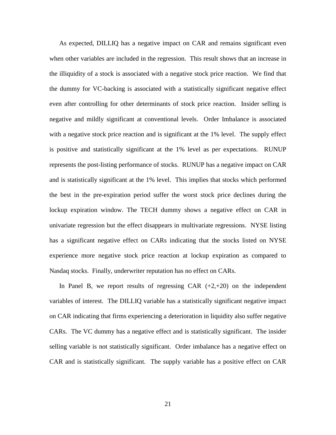As expected, DILLIQ has a negative impact on CAR and remains significant even when other variables are included in the regression. This result shows that an increase in the illiquidity of a stock is associated with a negative stock price reaction. We find that the dummy for VC-backing is associated with a statistically significant negative effect even after controlling for other determinants of stock price reaction. Insider selling is negative and mildly significant at conventional levels. Order Imbalance is associated with a negative stock price reaction and is significant at the 1% level. The supply effect is positive and statistically significant at the 1% level as per expectations. RUNUP represents the post-listing performance of stocks. RUNUP has a negative impact on CAR and is statistically significant at the 1% level. This implies that stocks which performed the best in the pre-expiration period suffer the worst stock price declines during the lockup expiration window. The TECH dummy shows a negative effect on CAR in univariate regression but the effect disappears in multivariate regressions. NYSE listing has a significant negative effect on CARs indicating that the stocks listed on NYSE experience more negative stock price reaction at lockup expiration as compared to Nasdaq stocks. Finally, underwriter reputation has no effect on CARs.

In Panel B, we report results of regressing CAR  $(+2, +20)$  on the independent variables of interest. The DILLIQ variable has a statistically significant negative impact on CAR indicating that firms experiencing a deterioration in liquidity also suffer negative CARs. The VC dummy has a negative effect and is statistically significant. The insider selling variable is not statistically significant. Order imbalance has a negative effect on CAR and is statistically significant. The supply variable has a positive effect on CAR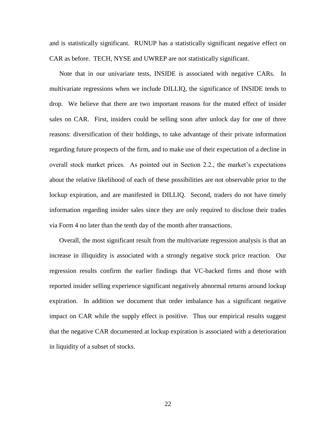and is statistically significant. RUNUP has a statistically significant negative effect on CAR as before. TECH, NYSE and UWREP are not statistically significant.

Note that in our univariate tests, INSIDE is associated with negative CARs. In multivariate regressions when we include DILLIQ, the significance of INSIDE tends to drop. We believe that there are two important reasons for the muted effect of insider sales on CAR. First, insiders could be selling soon after unlock day for one of three reasons: diversification of their holdings, to take advantage of their private information regarding future prospects of the firm, and to make use of their expectation of a decline in overall stock market prices. As pointed out in Section 2.2., the market's expectations about the relative likelihood of each of these possibilities are not observable prior to the lockup expiration, and are manifested in DILLIQ. Second, traders do not have timely information regarding insider sales since they are only required to disclose their trades via Form 4 no later than the tenth day of the month after transactions.

Overall, the most significant result from the multivariate regression analysis is that an increase in illiquidity is associated with a strongly negative stock price reaction. Our regression results confirm the earlier findings that VC-backed firms and those with reported insider selling experience significant negatively abnormal returns around lockup expiration. In addition we document that order imbalance has a significant negative impact on CAR while the supply effect is positive. Thus our empirical results suggest that the negative CAR documented at lockup expiration is associated with a deterioration in liquidity of a subset of stocks.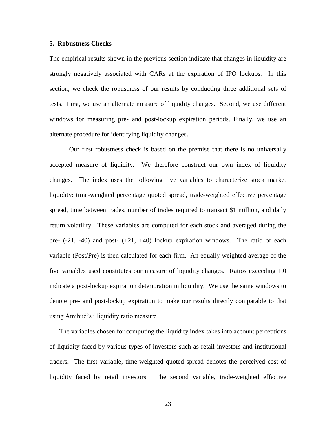## **5. Robustness Checks**

The empirical results shown in the previous section indicate that changes in liquidity are strongly negatively associated with CARs at the expiration of IPO lockups. In this section, we check the robustness of our results by conducting three additional sets of tests. First, we use an alternate measure of liquidity changes. Second, we use different windows for measuring pre- and post-lockup expiration periods. Finally, we use an alternate procedure for identifying liquidity changes.

Our first robustness check is based on the premise that there is no universally accepted measure of liquidity. We therefore construct our own index of liquidity changes. The index uses the following five variables to characterize stock market liquidity: time-weighted percentage quoted spread, trade-weighted effective percentage spread, time between trades, number of trades required to transact \$1 million, and daily return volatility. These variables are computed for each stock and averaged during the pre-  $(-21, -40)$  and post-  $(+21, +40)$  lockup expiration windows. The ratio of each variable (Post/Pre) is then calculated for each firm. An equally weighted average of the five variables used constitutes our measure of liquidity changes. Ratios exceeding 1.0 indicate a post-lockup expiration deterioration in liquidity. We use the same windows to denote pre- and post-lockup expiration to make our results directly comparable to that using Amihud's illiquidity ratio measure.

The variables chosen for computing the liquidity index takes into account perceptions of liquidity faced by various types of investors such as retail investors and institutional traders. The first variable, time-weighted quoted spread denotes the perceived cost of liquidity faced by retail investors. The second variable, trade-weighted effective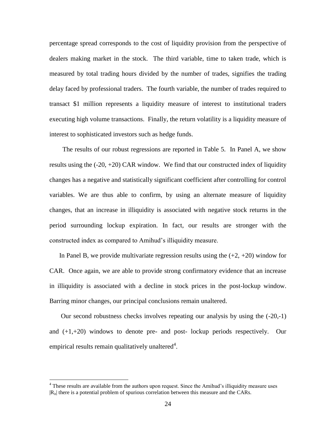percentage spread corresponds to the cost of liquidity provision from the perspective of dealers making market in the stock. The third variable, time to taken trade, which is measured by total trading hours divided by the number of trades, signifies the trading delay faced by professional traders. The fourth variable, the number of trades required to transact \$1 million represents a liquidity measure of interest to institutional traders executing high volume transactions. Finally, the return volatility is a liquidity measure of interest to sophisticated investors such as hedge funds.

 The results of our robust regressions are reported in Table 5. In Panel A, we show results using the  $(-20, +20)$  CAR window. We find that our constructed index of liquidity changes has a negative and statistically significant coefficient after controlling for control variables. We are thus able to confirm, by using an alternate measure of liquidity changes, that an increase in illiquidity is associated with negative stock returns in the period surrounding lockup expiration. In fact, our results are stronger with the constructed index as compared to Amihud's illiquidity measure.

In Panel B, we provide multivariate regression results using the  $(+2, +20)$  window for CAR. Once again, we are able to provide strong confirmatory evidence that an increase in illiquidity is associated with a decline in stock prices in the post-lockup window. Barring minor changes, our principal conclusions remain unaltered.

Our second robustness checks involves repeating our analysis by using the (-20,-1) and  $(+1,+20)$  windows to denote pre- and post-lockup periods respectively. Our empirical results remain qualitatively unaltered<sup>4</sup>.

 $\overline{a}$ 

<sup>&</sup>lt;sup>4</sup> These results are available from the authors upon request. Since the Amihud's illiquidity measure uses  $|R_{it}|$  there is a potential problem of spurious correlation between this measure and the CARs.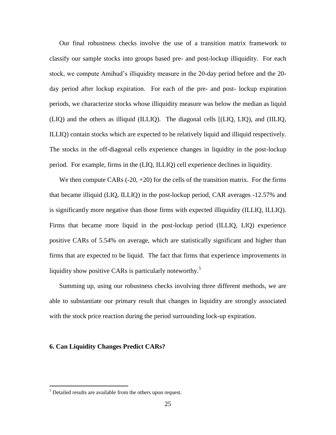Our final robustness checks involve the use of a transition matrix framework to classify our sample stocks into groups based pre- and post-lockup illiquidity. For each stock, we compute Amihud's illiquidity measure in the 20-day period before and the 20 day period after lockup expiration. For each of the pre- and post- lockup expiration periods, we characterize stocks whose illiquidity measure was below the median as liquid (LIQ) and the others as illiquid (ILLIQ). The diagonal cells [(LIQ, LIQ), and (IILIQ, ILLIQ) contain stocks which are expected to be relatively liquid and illiquid respectively. The stocks in the off-diagonal cells experience changes in liquidity in the post-lockup period. For example, firms in the (LIQ, ILLIQ) cell experience declines in liquidity.

We then compute CARs  $(-20, +20)$  for the cells of the transition matrix. For the firms that became illiquid (LIQ, ILLIQ) in the post-lockup period, CAR averages -12.57% and is significantly more negative than those firms with expected illiquidity (ILLIQ, ILLIQ). Firms that became more liquid in the post-lockup period (ILLIQ, LIQ) experience positive CARs of 5.54% on average, which are statistically significant and higher than firms that are expected to be liquid. The fact that firms that experience improvements in liquidity show positive CARs is particularly noteworthy.<sup>5</sup>

Summing up, using our robustness checks involving three different methods, we are able to substantiate our primary result that changes in liquidity are strongly associated with the stock price reaction during the period surrounding lock-up expiration.

## **6. Can Liquidity Changes Predict CARs?**

 $\overline{a}$ 

<sup>&</sup>lt;sup>5</sup> Detailed results are available from the others upon request.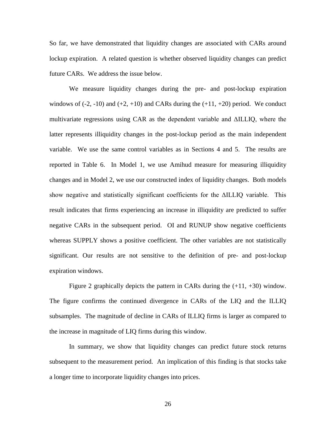So far, we have demonstrated that liquidity changes are associated with CARs around lockup expiration. A related question is whether observed liquidity changes can predict future CARs. We address the issue below.

We measure liquidity changes during the pre- and post-lockup expiration windows of  $(-2, -10)$  and  $(+2, +10)$  and CARs during the  $(+11, +20)$  period. We conduct multivariate regressions using CAR as the dependent variable and ΔILLIQ, where the latter represents illiquidity changes in the post-lockup period as the main independent variable. We use the same control variables as in Sections 4 and 5. The results are reported in Table 6. In Model 1, we use Amihud measure for measuring illiquidity changes and in Model 2, we use our constructed index of liquidity changes. Both models show negative and statistically significant coefficients for the ΔILLIQ variable. This result indicates that firms experiencing an increase in illiquidity are predicted to suffer negative CARs in the subsequent period. OI and RUNUP show negative coefficients whereas SUPPLY shows a positive coefficient. The other variables are not statistically significant. Our results are not sensitive to the definition of pre- and post-lockup expiration windows.

Figure 2 graphically depicts the pattern in CARs during the  $(+11, +30)$  window. The figure confirms the continued divergence in CARs of the LIQ and the ILLIQ subsamples. The magnitude of decline in CARs of ILLIQ firms is larger as compared to the increase in magnitude of LIQ firms during this window.

In summary, we show that liquidity changes can predict future stock returns subsequent to the measurement period. An implication of this finding is that stocks take a longer time to incorporate liquidity changes into prices.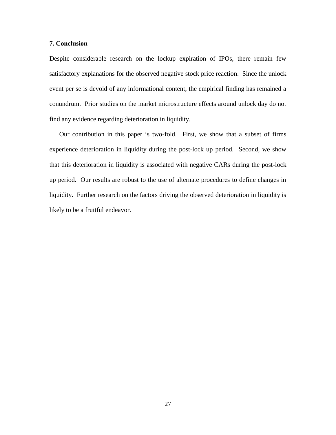## **7. Conclusion**

Despite considerable research on the lockup expiration of IPOs, there remain few satisfactory explanations for the observed negative stock price reaction. Since the unlock event per se is devoid of any informational content, the empirical finding has remained a conundrum. Prior studies on the market microstructure effects around unlock day do not find any evidence regarding deterioration in liquidity.

Our contribution in this paper is two-fold. First, we show that a subset of firms experience deterioration in liquidity during the post-lock up period. Second, we show that this deterioration in liquidity is associated with negative CARs during the post-lock up period. Our results are robust to the use of alternate procedures to define changes in liquidity. Further research on the factors driving the observed deterioration in liquidity is likely to be a fruitful endeavor.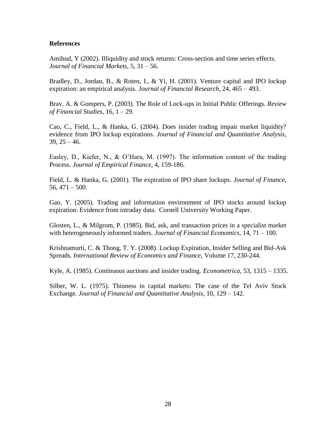## **References**

Amihud, Y (2002). Illiquidity and stock returns: Cross-section and time series effects. *Journal of Financial Markets*, 5, 31 – 56.

Bradley, D., Jordan, B., & Roten, I., & Yi, H. (2001). Venture capital and IPO lockup expiration: an empirical analysis. *Journal of Financial Research*, 24, 465 – 493.

Brav, A. & Gompers, P. (2003). The Role of Lock-ups in Initial Public Offerings. *Review of Financial Studies*, 16, 1 – 29.

Cao, C., Field, L., & Hanka, G. (2004). Does insider trading impair market liquidity? evidence from IPO lockup expirations. *Journal of Financial and Quantitative Analysis*,  $39, 25 - 46.$ 

Easley, D., Kiefer, N., & O'Hara, M. (1997). The information content of the trading Process. *Journal of Empirical Finance*, 4, 159-186.

Field, L. & Hanka, G. (2001). The expiration of IPO share lockups. *Journal of Finance*,  $56,471 - 500.$ 

Gao, Y. (2005). Trading and information environment of IPO stocks around lockup expiration: Evidence from intraday data. Cornell University Working Paper.

Glosten, L., & Milgrom, P. (1985). Bid, ask, and transaction prices in a specialist market with heterogeneously informed traders. *Journal of Financial Economics,* 14, 71 – 100.

Krishnamurti, C. & Thong, T. Y. (2008). Lockup Expiration, Insider Selling and Bid-Ask Spreads. *International Review of Economics and Finance*, Volume 17, 230-244.

Kyle, A. (1985). Continuous auctions and insider trading. *Econometrica*, 53, 1315 – 1335.

Silber, W. L. (1975). Thinness in capital markets: The case of the Tel Aviv Stock Exchange. *Journal of Financial and Quantitative Analysis*, 10, 129 – 142.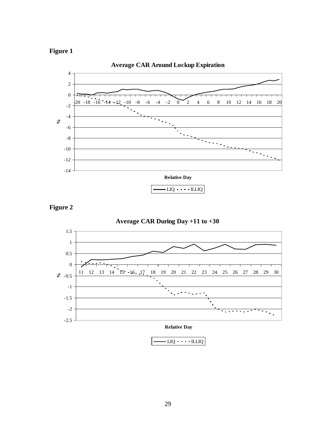







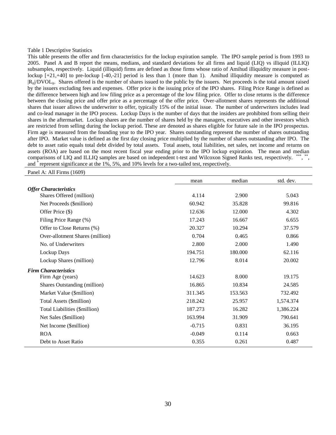#### Table 1 Descriptive Statistics

This table presents the offer and firm characteristics for the lockup expiration sample. The IPO sample period is from 1993 to 2005. Panel A and B report the means, medians, and standard deviations for all firms and liquid (LIQ) vs illiquid (ILLIQ) subsamples, respectively. Liquid (illiquid) firms are defined as those firms whose ratio of Amihud illiquidity measure in postlockup  $[-21, +40]$  to pre-lockup  $[-40, -21]$  period is less than 1 (more than 1). Amihud illiquidity measure is computed as  $|R_{it}|DVOL_{it}$ . Shares offered is the number of shares issued to the public by the issuers. Net proceeds is the total amount raised by the issuers excluding fees and expenses. Offer price is the issuing price of the IPO shares. Filing Price Range is defined as the difference between high and low filing price as a percentage of the low filing price. Offer to close returns is the difference between the closing price and offer price as a percentage of the offer price. Over-allotment shares represents the additional shares that issuer allows the underwriter to offer, typically 15% of the initial issue. The number of underwriters includes lead and co-lead manager in the IPO process. Lockup Days is the number of days that the insiders are prohibited from selling their shares in the aftermarket. Lockup shares are the number of shares held by the managers, executives and other investors which are restricted from selling during the lockup period. These are denoted as shares eligible for future sale in the IPO prospectus. Firm age is measured from the founding year to the IPO year. Shares outstanding represent the number of shares outstanding after IPO. Market value is defined as the first day closing price multiplied by the number of shares outstanding after IPO. The debt to asset ratio equals total debt divided by total assets. Total assets, total liabilities, net sales, net income and returns on assets (ROA) are based on the most recent fiscal year ending prior to the IPO lockup expiration. The mean and median comparisons of LIQ and ILLIQ samples are based on independent t-test and Wilcoxon Signed Ranks test, respectively. \*\*\*, \*\*, and \* represent significance at the 1%, 5%, and 10% levels for a two-tailed test, respectively.

Panel A: All Firms (1609)

|                                 | mean     | median  | std. dev. |
|---------------------------------|----------|---------|-----------|
| <b>Offer Characteristics</b>    |          |         |           |
| Shares Offered (million)        | 4.114    | 2.900   | 5.043     |
| Net Proceeds (\$million)        | 60.942   | 35.828  | 99.816    |
| Offer Price (\$)                | 12.636   | 12.000  | 4.302     |
| Filing Price Range (%)          | 17.243   | 16.667  | 6.655     |
| Offer to Close Returns (%)      | 20.327   | 10.294  | 37.579    |
| Over-allotment Shares (million) | 0.704    | 0.465   | 0.866     |
| No. of Underwriters             | 2.800    | 2.000   | 1.490     |
| Lockup Days                     | 194.751  | 180.000 | 62.116    |
| Lockup Shares (million)         | 12.796   | 8.014   | 20.002    |
| <b>Firm Characteristics</b>     |          |         |           |
| Firm Age (years)                | 14.623   | 8.000   | 19.175    |
| Shares Outstanding (million)    | 16.865   | 10.834  | 24.585    |
| Market Value (\$million)        | 311.345  | 153.563 | 732.492   |
| Total Assets (\$million)        | 218.242  | 25.957  | 1,574.374 |
| Total Liabilities (\$million)   | 187.273  | 16.282  | 1,386.224 |
| Net Sales (\$million)           | 163.994  | 31.909  | 790.641   |
| Net Income (\$million)          | $-0.715$ | 0.831   | 36.195    |
| <b>ROA</b>                      | $-0.049$ | 0.114   | 0.663     |
| Debt to Asset Ratio             | 0.355    | 0.261   | 0.487     |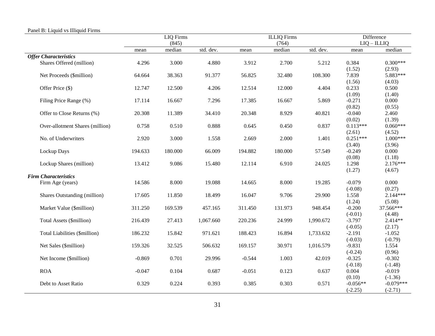|                                 |          | <b>LIQ</b> Firms |           |          | <b>ILLIQ</b> Firms |           | <b>Difference</b> |                      |  |
|---------------------------------|----------|------------------|-----------|----------|--------------------|-----------|-------------------|----------------------|--|
|                                 |          | (845)            |           |          | (764)              |           |                   | $LIQ - ILLIQ$        |  |
|                                 | mean     | median           | std. dev. | mean     | median             | std. dev. | mean              | median               |  |
| <b>Offer Characteristics</b>    |          |                  |           |          |                    |           |                   |                      |  |
| Shares Offered (million)        | 4.296    | 3.000            | 4.880     | 3.912    | 2.700              | 5.212     | 0.384             | $0.300***$           |  |
|                                 |          |                  |           |          |                    |           | (1.52)            | (2.93)               |  |
| Net Proceeds (\$million)        | 64.664   | 38.363           | 91.377    | 56.825   | 32.480             | 108.300   | 7.839             | 5.883***             |  |
|                                 |          |                  |           |          |                    |           | (1.56)            | (4.03)               |  |
| Offer Price (\$)                | 12.747   | 12.500           | 4.206     | 12.514   | 12.000             | 4.404     | 0.233             | 0.500                |  |
|                                 |          |                  |           |          |                    |           | (1.09)            | (1.40)               |  |
| Filing Price Range (%)          | 17.114   | 16.667           | 7.296     | 17.385   | 16.667             | 5.869     | $-0.271$          | 0.000                |  |
|                                 |          |                  |           |          |                    |           | (0.82)            | (0.55)               |  |
| Offer to Close Returns (%)      | 20.308   | 11.389           | 34.410    | 20.348   | 8.929              | 40.821    | $-0.040$          | 2.460                |  |
|                                 |          |                  |           |          |                    |           | (0.02)            | (1.39)               |  |
| Over-allotment Shares (million) | 0.758    | 0.510            | 0.888     | 0.645    | 0.450              | 0.837     | $0.113***$        | $0.060***$           |  |
|                                 |          |                  |           |          |                    |           | (2.61)            | (4.52)               |  |
| No. of Underwriters             | 2.920    | 3.000            | 1.558     | 2.669    | 2.000              | 1.401     | $0.251***$        | $1.000***$           |  |
|                                 |          |                  |           |          |                    |           | (3.40)            | (3.96)               |  |
| Lockup Days                     | 194.633  | 180.000          | 66.009    | 194.882  | 180.000            | 57.549    | $-0.249$          | 0.000                |  |
|                                 | 13.412   | 9.086            | 15.480    | 12.114   | 6.910              | 24.025    | (0.08)<br>1.298   | (1.18)<br>$2.176***$ |  |
| Lockup Shares (million)         |          |                  |           |          |                    |           | (1.27)            | (4.67)               |  |
| <b>Firm Characteristics</b>     |          |                  |           |          |                    |           |                   |                      |  |
| Firm Age (years)                | 14.586   | 8.000            | 19.088    | 14.665   | 8.000              | 19.285    | $-0.079$          | 0.000                |  |
|                                 |          |                  |           |          |                    |           | $(-0.08)$         | (0.27)               |  |
| Shares Outstanding (million)    | 17.605   | 11.850           | 18.499    | 16.047   | 9.706              | 29.900    | 1.558             | $2.144***$           |  |
|                                 |          |                  |           |          |                    |           | (1.24)            | (5.08)               |  |
| Market Value (\$million)        | 311.250  | 169.539          | 457.165   | 311.450  | 131.973            | 948.454   | $-0.200$          | 37.566***            |  |
|                                 |          |                  |           |          |                    |           | $(-0.01)$         | (4.48)               |  |
| Total Assets (\$million)        | 216.439  | 27.413           | 1,067.660 | 220.236  | 24.999             | 1,990.672 | $-3.797$          | 2.414**              |  |
|                                 |          |                  |           |          |                    |           | $(-0.05)$         | (2.17)               |  |
| Total Liabilities (\$million)   | 186.232  | 15.842           | 971.621   | 188.423  | 16.894             | 1,733.632 | $-2.191$          | $-1.052$             |  |
|                                 |          |                  |           |          |                    |           | $(-0.03)$         | $(-0.79)$            |  |
| Net Sales (\$million)           | 159.326  | 32.525           | 506.632   | 169.157  | 30.971             | 1,016.579 | $-9.831$          | 1.554                |  |
|                                 |          |                  |           |          |                    |           | $(-0.24)$         | (0.96)               |  |
| Net Income (\$million)          | $-0.869$ | 0.701            | 29.996    | $-0.544$ | 1.003              | 42.019    | $-0.325$          | $-0.302$             |  |
|                                 |          |                  |           |          |                    |           | $(-0.18)$         | $(-1.48)$            |  |
| <b>ROA</b>                      | $-0.047$ | 0.104            | 0.687     | $-0.051$ | 0.123              | 0.637     | 0.004             | $-0.019$             |  |
|                                 |          |                  |           |          |                    |           | (0.10)            | $(-1.36)$            |  |
| Debt to Asset Ratio             | 0.329    | 0.224            | 0.393     | 0.385    | 0.303              | 0.571     | $-0.056**$        | $-0.079***$          |  |
|                                 |          |                  |           |          |                    |           | $(-2.25)$         | $(-2.71)$            |  |

## Panel B: Liquid vs Illiquid Firms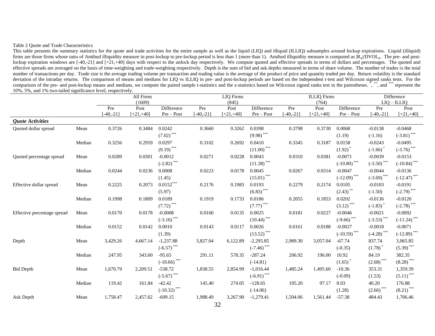#### Table 2 Quote and Trade Characteristics

This table presents the summary statistics for the quote and trade activities for the entire sample as well as the liquid (LIQ) and illiquid (ILLIQ) subsamples around lockup expirations. Liquid (illiquid) firms are those firms whose ratio of Amihud illiquidity measure in post-lockup to pre-lockup period is less than 1 (more than 1). Amihud illiquidity measure is computed as  $|R_i|DVOL_i$ . The pre- and postlockup expiration windows are [-40,-21] and [+21,+40] days with respect to the unlock day respectively. We compute quoted and effective spreads in terms of dollars and percentages. The quoted and effective spreads are averaged on the basis of time-weighting and trade-weighting respectively. Depth is the sum of bid and ask depths measured in terms of share volume. The number of trades is the total number of transactions per day. Trade size is the average trading volume per transaction and trading value is the average of the product of price and quantity traded per day. Return volatility is the standard deviation of the intraday returns. The comparison of means and medians for LIQ vs ILLIQ in pre- and post-lockup periods are based on the independent t-test and Wilcoxon signed ranks tests. For the comparison of the pre- and post-lockup means and medians, we compute the paired sample t-statistics and the z-statistics based on Wilcoxon signed ranks test in the parentheses. \*, \*\*,\*,\*,\*,\*,\* and \*\*\*\* represent the 10%, 5%, and 1% two-tailed significance level, respectively.

|                             |        |             | All Firms    |                  |            | <b>LIQ</b> Firms |                         |             | <b>ILLIQ</b> Firms |                         | Difference    |                                           |
|-----------------------------|--------|-------------|--------------|------------------|------------|------------------|-------------------------|-------------|--------------------|-------------------------|---------------|-------------------------------------------|
|                             |        |             | (1609)       |                  |            | (845)            |                         |             | (764)              |                         |               | $LIQ - ILLIQ$                             |
|                             |        | Pre         | Post         | Difference       | Pre        | Post             | Difference              | Pre         | Post               | Difference              | Pre           | Post                                      |
|                             |        | $-40,-21$ ] | $[-21, +40]$ | Pre-Post         | $-40, -21$ | $[-21, +40]$     | Pre-Post                | $[-40,-21]$ | $[-21, +40]$       | Pre-Post                | $[-40,-21]$   | $[+21,+40]$                               |
| <b>Quote Activities</b>     |        |             |              |                  |            |                  |                         |             |                    |                         |               |                                           |
| Quoted dollar spread        | Mean   | 0.3726      | 0.3484       | 0.0242           | 0.3660     | 0.3262           | 0.0398                  | 0.3798      | 0.3730             | 0.0068                  | $-0.0138$     | $-0.0468$                                 |
|                             |        |             |              | $***$<br>(7.02)  |            |                  | $(9.98)$ ***            |             |                    | (1.19)                  | $(-1.16)$     | $(-3.81)$ ***                             |
|                             | Median | 0.3256      | 0.2959       | 0.0297           | 0.3102     | 0.2692           | 0.0410                  | 0.3345      | 0.3187             | 0.0158                  | $-0.0243$     | $-0.0495$                                 |
|                             |        |             |              | $(9.19)$ ***     |            |                  | $(11.00)$ ***           |             |                    | $(1.92)$ <sup>*</sup>   | $(-1.66)$     | $(-3.76)$ ***                             |
| Quoted percentage spread    | Mean   | 0.0289      | 0.0301       | $-0.0012$        | 0.0271     | 0.0228           | 0.0043                  | 0.0310      | 0.0381             | $-0.0071$               | $-0.0039$     | $-0.0153$                                 |
|                             |        |             |              | ***<br>$(-2.82)$ |            |                  | $(11.38)$ ***           |             |                    | $(-10.80)$ ***          | $(-3.50)$ *** | $(-10.84)$ ***                            |
|                             | Median | 0.0244      | 0.0236       | 0.0008           | 0.0223     | 0.0178           | 0.0045                  | 0.0267      | 0.0314             | $-0.0047$               | $-0.0044$     | $-0.0136$                                 |
|                             |        |             |              | (1.45)           |            |                  | $(15.01)$ ***           |             |                    | $(-12.09)$ ***          | $(-3.69)$ *** | $\left( -12.47\right) ^{\ast \ast \ast }$ |
| Effective dollar spread     | Mean   | 0.2225      | 0.2073       | $0.0152***$      | 0.2176     | 0.1983           | 0.0193                  | 0.2279      | 0.2174             | 0.0105                  | $-0.0103$     | $-0.0191$                                 |
|                             |        |             |              | (5.97)           |            |                  | $(6.83)$ ***            |             |                    | $(2.43)$ **             | $(-1.50)$     | $(-2.79)$ ***                             |
|                             | Median | 0.1998      | 0.1809       | 0.0189           | 0.1919     | 0.1733           | 0.0186                  | 0.2055      | 0.1853             | 0.0202                  | $-0.0136$     | $-0.0120$                                 |
|                             |        |             |              | $***$<br>(7.72)  |            |                  | $(7.77)$ <sup>***</sup> |             |                    | $(3.12)$ <sup>***</sup> | $(-1.83)$     | $(-2.78)$ ***                             |
| Effective percentage spread | Mean   | 0.0170      | 0.0178       | $-0.0008$        | 0.0160     | 0.0135           | 0.0025                  | 0.0181      | 0.0227             | $-0.0046$               | $-0.0021$     | $-0.0092$                                 |
|                             |        |             |              | $(-3.16)$ ***    |            |                  | $(10.44)$ ***           |             |                    | $(-9.66)$ ***           | $(-3.53)$ *** | $(-11.24)$ ***                            |
|                             | Median | 0.0152      | 0.0142       | 0.0010           | 0.0143     | 0.0117           | 0.0026                  | 0.0161      | 0.0188             | $-0.0027$               | $-0.0018$     | $-0.0071$                                 |
|                             |        |             |              | (1.39)           |            |                  | $(13.52)$ ***           |             |                    | $(-10.59)$ ***          | $(-4.28)$ *** | $(-12.89)$ ***                            |
| Depth                       | Mean   | 3,429.26    | 4,667.14     | $-1,237.88$      | 3,827.04   | 6,122.89         | $-2,295.85$             | 2,989.30    | 3,057.04           | $-67.74$                | 837.74        | 3,065.85                                  |
|                             |        |             |              | $(-6.57)$ ***    |            |                  | $(-7.46)$ ***           |             |                    | $(-0.35)$               | (1.78)        | $(5.39)$ ***                              |
|                             | Median | 247.95      | 343.60       | $-95.65$         | 291.11     | 578.35           | $-287.24$               | 206.92      | 196.00             | 10.92                   | 84.19         | 382.35                                    |
|                             |        |             |              | $(-10.66)$ ***   |            |                  | $(-14.81)$              |             |                    | (1.65)                  | $(2.68)$ ***  | $(8.28)$ <sup>***</sup>                   |
| <b>Bid Depth</b>            | Mean   | 1,670.79    | 2,209.51     | $-538.72$        | 1,838.55   | 2,854.99         | $-1,016.44$             | 1,485.24    | 1,495.60           | $-10.36$                | 353.31        | 1,359.39                                  |
|                             |        |             |              | $(-5.67)$ ***    |            |                  | $(-6.91)$ ***           |             |                    | $(-0.09)$               | (1.53)        | $(5.11)$ <sup>***</sup>                   |
|                             | Median | 119.42      | 161.84       | $-42.42$         | 145.40     | 274.05           | $-128.65$               | 105.20      | 97.17              | 8.03                    | 40.20         | 176.88                                    |
|                             |        |             |              | $(-10.32)$ ***   |            |                  | $(-14.06)$              |             |                    | (1.28)                  | $(2.66)$ ***  | $(8.21)$ ***                              |
| Ask Depth                   | Mean   | 1,758.47    | 2,457.62     | $-699.15$        | 1,988.49   | 3,267.90         | $-1,279.41$             | 1,504.06    | 1,561.44           | $-57.38$                | 484.43        | 1,706.46                                  |
|                             |        |             |              |                  |            |                  |                         |             |                    |                         |               |                                           |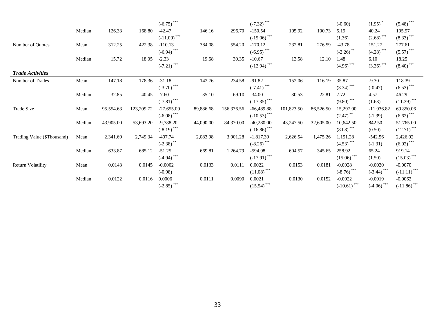|                            |        |           |            | $(-6.75)$ ***    |           |            | $(-7.32)$ ***        |            |           | $(-0.60)$                          | (1.95)                  | $(5.48)$ ***            |
|----------------------------|--------|-----------|------------|------------------|-----------|------------|----------------------|------------|-----------|------------------------------------|-------------------------|-------------------------|
|                            | Median | 126.33    | 168.80     | $-42.47$         | 146.16    | 296.70     | $-150.54$            | 105.92     | 100.73    | 5.19                               | 40.24                   | 195.97                  |
|                            |        |           |            | $(-11.09)$ ***   |           |            | $(-15.06)$ ***       |            |           | (1.36)                             | $(2.68)$ <sup>***</sup> | $(8.33)$ ***            |
| Number of Ouotes           | Mean   | 312.25    | 422.38     | $-110.13$        | 384.08    | 554.20     | $-170.12$            | 232.81     | 276.59    | $-43.78$                           | 151.27                  | 277.61                  |
|                            |        |           |            | $(-6.94)$ ***    |           |            | $(-6.95)$ ***        |            |           | $(-2.26)$ **                       | $(4.28)$ ***            | $(5.57)$ ***            |
|                            | Median | 15.72     | 18.05      | $-2.33$          | 19.68     | 30.35      | $-10.67$             | 13.58      | 12.10     | 1.48                               | 6.10                    | 18.25                   |
|                            |        |           |            | ***<br>$(-7.21)$ |           |            | $\frac{(-12.94)}{2}$ |            |           | $\left(4.96\right)$ <sup>***</sup> | $(3.36)$ ***            | $(8.40)$ <sup>***</sup> |
| <b>Trade Activities</b>    |        |           |            |                  |           |            |                      |            |           |                                    |                         |                         |
| Number of Trades           | Mean   | 147.18    | 178.36     | $-31.18$         | 142.76    | 234.58     | $-91.82$             | 152.06     | 116.19    | 35.87                              | $-9.30$                 | 118.39                  |
|                            |        |           |            | $(-3.70)$ ***    |           |            | $(-7.41)$ ***        |            |           | $(3.34)$ ***                       | $(-0.47)$               | $(6.53)$ ***            |
|                            | Median | 32.85     | 40.45      | $-7.60$          | 35.10     | 69.10      | $-34.00$             | 30.53      | 22.81     | 7.72                               | 4.57                    | 46.29                   |
|                            |        |           |            | $(-7.81)$ ***    |           |            | $(-17.35)$ ***       |            |           | $(9.80)$ ***                       | (1.63)                  | $(11.39)$ ***           |
| Trade Size                 | Mean   | 95,554.63 | 123,209.72 | $-27,655.09$     | 89,886.68 | 156,376.56 | $-66,489.88$         | 101,823.50 | 86,526.50 | 15,297.00                          | $-11,936.82$            | 69,850.06               |
|                            |        |           |            | $(-6.08)$ ***    |           |            | $(-10.53)$ ***       |            |           | $(2.47)$ <sup>**</sup>             | $(-1.39)$               | $(6.62)$ ***            |
|                            | Median | 43,905.00 | 53,693.20  | $-9,788.20$      | 44,090.00 | 84,370.00  | $-40,280.00$         | 43,247.50  | 32,605.00 | 10,642.50                          | 842.50                  | 51,765.00               |
|                            |        |           |            | $(-8.19)$ ***    |           |            | $(-16.86)$ ***       |            |           | $(8.08)$ ***                       | (0.50)                  | $(12.71)$ ***           |
| Trading Value (\$Thousand) | Mean   | 2,341.60  | 2,749.34   | $-407.74$        | 2,083.98  | 3,901.28   | $-1,817.30$          | 2,626.54   | 1,475.26  | 1,151.28                           | $-542.56$               | 2,426.02                |
|                            |        |           |            | $(-2.38)$        |           |            | $(-8.26)$ ***        |            |           | $(4.53)$ ***                       | $(-1.31)$               | $(6.92)$ ***            |
|                            | Median | 633.87    | 685.12     | $-51.25$         | 669.81    | 1,264.79   | $-594.98$            | 604.57     | 345.65    | 258.92                             | 65.24                   | 919.14                  |
|                            |        |           |            | $(-4.94)$ ***    |           |            | $(-17.91)$ ***       |            |           | $(15.06)$ ***                      | (1.50)                  | $(15.03)$ ***           |
| <b>Return Volatility</b>   | Mean   | 0.0143    | 0.0145     | $-0.0002$        | 0.0133    | 0.0111     | 0.0022               | 0.0153     | 0.0181    | $-0.0028$                          | $-0.0020$               | $-0.0070$               |
|                            |        |           |            | $(-0.98)$        |           |            | $(11.08)$ ***        |            |           | $(-8.76)$ ***                      | $(-3.44)$ ***           | $(-11.11)$ ***          |
|                            | Median | 0.0122    | 0.0116     | 0.0006           | 0.0111    | 0.0090     | 0.0021               | 0.0130     | 0.0152    | $-0.0022$                          | $-0.0019$               | $-0.0062$               |
|                            |        |           |            | $(-2.85)$ ***    |           |            | $(15.54)$ ***        |            |           | $(-10.61)$ ***                     | $\frac{(-4.06)}{2}$     | $(-11.86)$ ***          |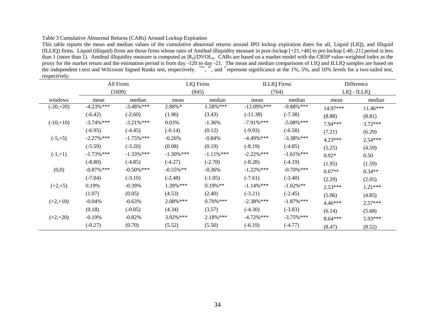#### Table 3 Cumulative Abnormal Returns (CARs) Around Lockup Expiration

This table reports the mean and median values of the cumulative abnormal returns around IPO lockup expiration dates for all, Liquid (LIQ), and Illiquid (ILLIQ) firms. Liquid (illiquid) firms are those firms whose ratio of Amihud illiquidity measure in post-lockup [+21,+40] to pre-lockup [-40,-21] period is less than 1 (more than 1). Amihud illiquidity measure is computed as  $|R_{it}|DVOL_{it}$ . CARs are based on a market model with the CRSP value-weighted index as the proxy for the market return and the estimation period is from day -120 to day -21. The mean and median comparisons of LIQ and ILLIQ samples are based on the independent t-test and Wilcoxon Signed Ranks test, respectively. \*\*\*, \*\*, and \*represent significance at the 1%, 5%, and 10% levels for a two-tailed test, respectively.

|             |               | All Firms     | <b>LIQ</b> Firms |               | <b>ILLIQ</b> Firms |               | Difference |             |
|-------------|---------------|---------------|------------------|---------------|--------------------|---------------|------------|-------------|
|             |               | (1609)        |                  | (845)         |                    | (764)         |            | LIQ - ILLIQ |
| windows     | mean          | median        | mean             | median        | mean               | median        | mean       | median      |
| $(-20,+20)$ | $-4.23%$ ***  | $-3.48\%$ *** | 2.88%*           | $1.58\%$ ***  | $-12.09\%$ ***     | $-9.88\%$ *** | 14.97***   | $11.46***$  |
|             | $(-6.42)$     | $(-2.60)$     | (1.96)           | (3.43)        | $(-11.38)$         | $(-7.38)$     | (8.88)     | (8.81)      |
| $(-10,+10)$ | $-3.74\%$ *** | $-3.21\%$ *** | 0.03%            | $-1.36%$      | $-7.91\%$ ***      | $-5.08\%$ *** | 7.94***    | $3.72***$   |
|             | $(-6.95)$     | $(-4.45)$     | $(-0.14)$        | (0.12)        | $(-9.93)$          | $(-6.58)$     | (7.21)     | (6.29)      |
| $(-5,+5)$   | $-2.27\%$ *** | $-1.75\%$ *** | $-0.26%$         | $-0.84%$      | $-4.49\%$ ***      | $-3.38\%$ *** | $4.23***$  | $2.54***$   |
|             | $(-5.59)$     | $(-3.20)$     | (0.08)           | (0.19)        | $(-8.19)$          | $(-4.85)$     | (5.25)     | (4.59)      |
| $(-1,+1)$   | $-1.73\%$ *** | $-1.33\%$ *** | $-1.30\%$ ***    | $-1.11\%$ *** | $-2.22\%$ ***      | $-1.61\%$ *** | $0.92*$    | 0.50        |
|             | $(-8.80)$     | $(-4.85)$     | $(-4.27)$        | $(-2.70)$     | $(-8.28)$          | $(-4.19)$     | (1.95)     | (1.59)      |
| (0,0)       | $-0.87\%$ *** | $-0.50\%$ *** | $-0.55\%$ **     | $-0.36%$      | $-1.22\%$ ***      | $-0.70\%$ *** | $0.67**$   | $0.34**$    |
|             | $(-7.04)$     | $(-3.10)$     | $(-2.48)$        | $(-1.05)$     | $(-7.61)$          | $(-3.40)$     | (2.29)     | (2.05)      |
| $(+2,+5)$   | 0.19%         | $-0.39%$      | 1.39% ***        | $0.19\%$ **   | $-1.14\%$ ***      | $-1.02\%$ **  | 2.53***    | $1.21***$   |
|             | (1.07)        | (0.05)        | (4.53)           | (2.40)        | $(-3.21)$          | $(-2.45)$     | (5.06)     | (4.85)      |
| $(+2,+10)$  | $-0.04%$      | $-0.63%$      | 2.08% ***        | $0.70\%$ ***  | $-2.38\%$ ***      | $-1.87\%$ *** | $4.46***$  | $2.57***$   |
|             | (0.18)        | $(-0.05)$     | (4.34)           | (3.57)        | $(-4.30)$          | $(-3.83)$     | (6.14)     | (5.68)      |
| $(+2,+20)$  | $-0.19%$      | $-0.82%$      | 3.92% ***        | $2.18\%$ ***  | $-4.72\%$ ***      | $-3.75\%$ *** | $8.64***$  | 5.93***     |
|             | $(-0.27)$     | (0.70)        | (5.52)           | (5.50)        | $(-6.19)$          | $(-4.77)$     | (8.47)     | (8.52)      |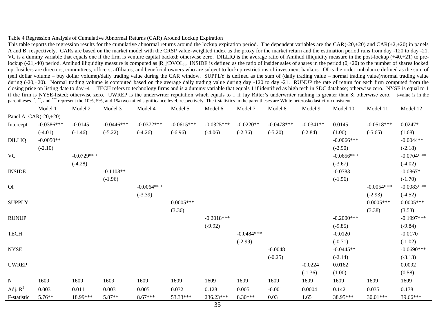#### Table 4 Regression Analysis of Cumulative Abnormal Returns (CAR) Around Lockup Expiration

This table reports the regression results for the cumulative abnormal returns around the lockup expiration period. The dependent variables are the CAR(-20,+20) and CAR(+2,+20) in panels A and B, respectively. CARs are based on the market model with the CRSP value-weighted index as the proxy for the market return and the estimation period runs from day -120 to day -21. VC is a dummy variable that equals one if the firm is venture capital backed; otherwise zero. DILLIQ is the average ratio of Amihud illiquidity measure in the post-lockup  $(+40,+21)$  to prelockup (-21,-40) period. Amihud illiquidity measure is computed as  $|R_{it}/DVOL_{it}$ . INSIDE is defined as the ratio of insider sales of shares in the period (0,+20) to the number of shares locked up. Insiders are directors, committees, officers, affiliates, and beneficial owners who are subject to lockup restrictions of investment bankers. OI is the order imbalance defined as the sum of (sell dollar volume – buy dollar volume)/daily trading value during the CAR window. SUPPLY is defined as the sum of (daily trading value – normal trading value)/normal trading value during (-20,+20). Normal trading volume is computed based on the average daily trading value during day -120 to day -21. RUNUP the rate of return for each firm computed from the closing price on listing date to day -41. TECH refers to technology firms and is a dummy variable that equals 1 if identified as high tech in SDC database; otherwise zero. NYSE is equal to 1 if the firm is NYSE-listed; otherwise zero. UWREP is the underwriter reputation which equals to 1 if Jay Ritter's underwriter ranking is greater than 8; otherwise zero. t-value is in the parentheses. ", \*", and \*\*\* represent the 10%, 5%, and 1% two-tailed significance level, respectively. The t-statistics in the parentheses are White heteroskedasticity-consistent.

|                       | Model 1      | Model 2      | Model 3      | Model 4      | Model 5      | Model 6      | Model 7      | Model 8      | Model 9     | Model 10      | Model 11     | Model 12     |
|-----------------------|--------------|--------------|--------------|--------------|--------------|--------------|--------------|--------------|-------------|---------------|--------------|--------------|
| Panel A: CAR(-20,+20) |              |              |              |              |              |              |              |              |             |               |              |              |
| Intercept             | $-0.0386***$ | $-0.0145$    | $-0.0446***$ | $-0.0372***$ | $-0.0615***$ | $-0.0325***$ | $-0.0220**$  | $-0.0478***$ | $-0.0341**$ | 0.0145        | $-0.0518***$ | $0.0247*$    |
|                       | $(-4.01)$    | $(-1.46)$    | $(-5.22)$    | $(-4.26)$    | $(-6.96)$    | $(-4.06)$    | $(-2.36)$    | $(-5.20)$    | $(-2.84)$   | (1.00)        | $(-5.65)$    | (1.68)       |
| <b>DILLIQ</b>         | $-0.0050**$  |              |              |              |              |              |              |              |             | $-0.0066$ *** |              | $-0.0044**$  |
|                       | $(-2.10)$    |              |              |              |              |              |              |              |             | $(-2.90)$     |              | $(-2.18)$    |
| <b>VC</b>             |              | $-0.0729***$ |              |              |              |              |              |              |             | $-0.0656***$  |              | $-0.0704***$ |
|                       |              | $(-4.28)$    |              |              |              |              |              |              |             | $(-3.67)$     |              | $(-4.02)$    |
| <b>INSIDE</b>         |              |              | $-0.1108**$  |              |              |              |              |              |             | $-0.0783$     |              | $-0.0867*$   |
|                       |              |              | $(-1.96)$    |              |              |              |              |              |             | $(-1.56)$     |              | $(-1.70)$    |
| O <sub>I</sub>        |              |              |              | $-0.0064***$ |              |              |              |              |             |               | $-0.0054***$ | $-0.0083***$ |
|                       |              |              |              | $(-3.39)$    |              |              |              |              |             |               | $(-2.93)$    | $(-4.52)$    |
| <b>SUPPLY</b>         |              |              |              |              | $0.0005***$  |              |              |              |             |               | $0.0005***$  | $0.0005***$  |
|                       |              |              |              |              | (3.36)       |              |              |              |             |               | (3.38)       | (3.53)       |
| <b>RUNUP</b>          |              |              |              |              |              | $-0.2018***$ |              |              |             | $-0.2000***$  |              | $-0.1997***$ |
|                       |              |              |              |              |              | $(-9.92)$    |              |              |             | $(-9.85)$     |              | $(-9.84)$    |
| <b>TECH</b>           |              |              |              |              |              |              | $-0.0484***$ |              |             | $-0.0120$     |              | $-0.0170$    |
|                       |              |              |              |              |              |              | $(-2.99)$    |              |             | $(-0.71)$     |              | $(-1.02)$    |
| <b>NYSE</b>           |              |              |              |              |              |              |              | $-0.0048$    |             | $-0.0445**$   |              | $-0.0690***$ |
|                       |              |              |              |              |              |              |              | $(-0.25)$    |             | $(-2.14)$     |              | $(-3.13)$    |
| <b>UWREP</b>          |              |              |              |              |              |              |              |              | $-0.0224$   | 0.0162        |              | 0.0092       |
|                       |              |              |              |              |              |              |              |              | $(-1.36)$   | (1.00)        |              | (0.58)       |
| ${\bf N}$             | 1609         | 1609         | 1609         | 1609         | 1609         | 1609         | 1609         | 1609         | 1609        | 1609          | 1609         | 1609         |
| Adj. $R^2$            | 0.003        | 0.011        | 0.003        | 0.005        | 0.032        | 0.128        | 0.005        | $-0.001$     | 0.0004      | 0.142         | 0.035        | 0.178        |
| F-statistic           | 5.76**       | 18.99***     | 5.87**       | $8.67***$    | 53.33***     | 236.23***    | $8.30***$    | 0.03         | 1.65        | 38.95***      | 30.01***     | 39.66***     |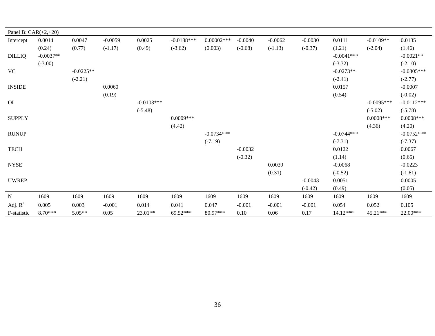| Panel B: $CAR(+2,+20)$ |             |             |           |              |              |              |           |           |           |              |              |              |
|------------------------|-------------|-------------|-----------|--------------|--------------|--------------|-----------|-----------|-----------|--------------|--------------|--------------|
| Intercept              | 0.0014      | 0.0047      | $-0.0059$ | 0.0025       | $-0.0188***$ | $0.00002***$ | $-0.0040$ | $-0.0062$ | $-0.0030$ | 0.0111       | $-0.0109**$  | 0.0135       |
|                        | (0.24)      | (0.77)      | $(-1.17)$ | (0.49)       | $(-3.62)$    | (0.003)      | $(-0.68)$ | $(-1.13)$ | $(-0.37)$ | (1.21)       | $(-2.04)$    | (1.46)       |
| <b>DILLIQ</b>          | $-0.0037**$ |             |           |              |              |              |           |           |           | $-0.0041***$ |              | $-0.0021**$  |
|                        | $(-3.00)$   |             |           |              |              |              |           |           |           | $(-3.32)$    |              | $(-2.10)$    |
| VC                     |             | $-0.0225**$ |           |              |              |              |           |           |           | $-0.0273**$  |              | $-0.0305***$ |
|                        |             | $(-2.21)$   |           |              |              |              |           |           |           | $(-2.41)$    |              | $(-2.77)$    |
| <b>INSIDE</b>          |             |             | 0.0060    |              |              |              |           |           |           | 0.0157       |              | $-0.0007$    |
|                        |             |             | (0.19)    |              |              |              |           |           |           | (0.54)       |              | $(-0.02)$    |
| O <sub>I</sub>         |             |             |           | $-0.0103***$ |              |              |           |           |           |              | $-0.0095***$ | $-0.0112***$ |
|                        |             |             |           | $(-5.48)$    |              |              |           |           |           |              | $(-5.02)$    | $(-5.78)$    |
| <b>SUPPLY</b>          |             |             |           |              | $0.0009***$  |              |           |           |           |              | $0.0008***$  | $0.0008***$  |
|                        |             |             |           |              | (4.42)       |              |           |           |           |              | (4.36)       | (4.20)       |
| <b>RUNUP</b>           |             |             |           |              |              | $-0.0734***$ |           |           |           | $-0.0744***$ |              | $-0.0752***$ |
|                        |             |             |           |              |              | $(-7.19)$    |           |           |           | $(-7.31)$    |              | $(-7.37)$    |
| <b>TECH</b>            |             |             |           |              |              |              | $-0.0032$ |           |           | 0.0122       |              | 0.0067       |
|                        |             |             |           |              |              |              | $(-0.32)$ |           |           | (1.14)       |              | (0.65)       |
| <b>NYSE</b>            |             |             |           |              |              |              |           | 0.0039    |           | $-0.0068$    |              | $-0.0223$    |
|                        |             |             |           |              |              |              |           | (0.31)    |           | $(-0.52)$    |              | $(-1.61)$    |
| <b>UWREP</b>           |             |             |           |              |              |              |           |           | $-0.0043$ | 0.0051       |              | 0.0005       |
|                        |             |             |           |              |              |              |           |           | $(-0.42)$ | (0.49)       |              | (0.05)       |
| $\mathbf N$            | 1609        | 1609        | 1609      | 1609         | 1609         | 1609         | 1609      | 1609      | 1609      | 1609         | 1609         | 1609         |
| Adj. $R^2$             | 0.005       | 0.003       | $-0.001$  | 0.014        | 0.041        | 0.047        | $-0.001$  | $-0.001$  | $-0.001$  | 0.054        | 0.052        | 0.105        |
| F-statistic            | $8.70***$   | $5.05**$    | 0.05      | $23.01**$    | 69.52***     | 80.97***     | 0.10      | 0.06      | 0.17      | 14.12***     | $45.21***$   | 22.00***     |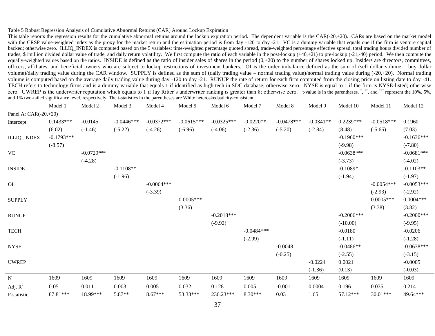#### Table 5 Robust Regression Analysis of Cumulative Abnormal Returns (CAR) Around Lockup Expiration

This table reports the regression results for the cumulative abnormal returns around the lockup expiration period. The dependent variable is the CAR(-20,+20). CARs are based on the market model with the CRSP value-weighted index as the proxy for the market return and the estimation period is from day -120 to day -21. VC is a dummy variable that equals one if the firm is venture capital backed; otherwise zero. ILLIQ\_INDEX is computed based on the 5 variables: time-weighted percentage quoted spread, trade-weighted percentage effective spread, total trading hours divided number of trades, \$1million divided dollar value of trade, and daily return volatility. We first compute the ratio of each variable in the post-lockup (+40,+21) to pre-lockup (-21,-40) period. We then compute the equally-weighted values based on the ratios. INSIDE is defined as the ratio of insider sales of shares in the period  $(0, +20)$  to the number of shares locked up. Insiders are directors, committees, officers, affiliates, and beneficial owners who are subject to lockup restrictions of investment bankers. OI is the order imbalance defined as the sum of (sell dollar volume – buy dollar volume)/daily trading value during the CAR window. SUPPLY is defined as the sum of (daily trading value – normal trading value)/normal trading value during (-20,+20). Normal trading volume is computed based on the average daily trading value during day -120 to day -21. RUNUP the rate of return for each firm computed from the closing price on listing date to day -41. TECH refers to technology firms and is a dummy variable that equals 1 if identified as high tech in SDC database; otherwise zero. NYSE is equal to 1 if the firm is NYSE-listed; otherwise zero. UWREP is the underwriter reputation which equals to 1 if Jay Ritter's underwriter ranking is greater than 8; otherwise zero. t-value is in the parentheses.<sup>\*</sup>,\*\*\*, and \*\*\*\* represent the 10%, 5%, and 1% two-tailed significance level, respectively. The t-statistics in the parentheses are White heteroskedasticity-consistent.

|                       | Model 1      | Model 2      | Model 3      | Model 4      | Model 5      | Model 6      | Model 7      | Model 8      | Model 9     | Model 10     | Model 11     | Model 12     |
|-----------------------|--------------|--------------|--------------|--------------|--------------|--------------|--------------|--------------|-------------|--------------|--------------|--------------|
| Panel A: CAR(-20,+20) |              |              |              |              |              |              |              |              |             |              |              |              |
| Intercept             | $0.1433***$  | $-0.0145$    | $-0.0446***$ | $-0.0372***$ | $-0.0615***$ | $-0.0325***$ | $-0.0220**$  | $-0.0478***$ | $-0.0341**$ | $0.2239***$  | $-0.0518***$ | 0.1960       |
|                       | (6.02)       | $(-1.46)$    | $(-5.22)$    | $(-4.26)$    | $(-6.96)$    | $(-4.06)$    | $(-2.36)$    | $(-5.20)$    | $(-2.84)$   | (8.48)       | $(-5.65)$    | (7.03)       |
| <b>ILLIQ_INDEX</b>    | $-0.1793***$ |              |              |              |              |              |              |              |             | $-0.1960***$ |              | $-0.1636***$ |
|                       | $(-8.57)$    |              |              |              |              |              |              |              |             | $(-9.98)$    |              | $(-7.80)$    |
| <b>VC</b>             |              | $-0.0729***$ |              |              |              |              |              |              |             | $-0.0638***$ |              | $-0.0681***$ |
|                       |              | $(-4.28)$    |              |              |              |              |              |              |             | $(-3.73)$    |              | $(-4.02)$    |
| <b>INSIDE</b>         |              |              | $-0.1108**$  |              |              |              |              |              |             | $-0.1089*$   |              | $-0.1103**$  |
|                       |              |              | $(-1.96)$    |              |              |              |              |              |             | $(-1.94)$    |              | $(-1.97)$    |
| <b>OI</b>             |              |              |              | $-0.0064***$ |              |              |              |              |             |              | $-0.0054***$ | $-0.0053***$ |
|                       |              |              |              | $(-3.39)$    |              |              |              |              |             |              | $(-2.93)$    | $(-2.92)$    |
| <b>SUPPLY</b>         |              |              |              |              | $0.0005***$  |              |              |              |             |              | $0.0005***$  | $0.0004***$  |
|                       |              |              |              |              | (3.36)       |              |              |              |             |              | (3.38)       | (3.82)       |
| <b>RUNUP</b>          |              |              |              |              |              | $-0.2018***$ |              |              |             | $-0.2006***$ |              | $-0.2000***$ |
|                       |              |              |              |              |              | $(-9.92)$    |              |              |             | $(-10.00)$   |              | $(-9.95)$    |
| <b>TECH</b>           |              |              |              |              |              |              | $-0.0484***$ |              |             | $-0.0180$    |              | $-0.0206$    |
|                       |              |              |              |              |              |              | $(-2.99)$    |              |             | $(-1.11)$    |              | $(-1.28)$    |
| <b>NYSE</b>           |              |              |              |              |              |              |              | $-0.0048$    |             | $-0.0486**$  |              | $-0.0638***$ |
|                       |              |              |              |              |              |              |              | $(-0.25)$    |             | $(-2.55)$    |              | $(-3.15)$    |
| <b>UWREP</b>          |              |              |              |              |              |              |              |              | $-0.0224$   | 0.0021       |              | $-0.0005$    |
|                       |              |              |              |              |              |              |              |              | $(-1.36)$   | (0.13)       |              | $(-0.03)$    |
| $\mathbf N$           | 1609         | 1609         | 1609         | 1609         | 1609         | 1609         | 1609         | 1609         | 1609        | 1609         | 1609         | 1609         |
| Adj. $R^2$            | 0.051        | 0.011        | 0.003        | 0.005        | 0.032        | 0.128        | 0.005        | $-0.001$     | 0.0004      | 0.196        | 0.035        | 0.214        |
| F-statistic           | 87.81***     | 18.99***     | 5.87**       | $8.67***$    | 53.33***     | 236.23***    | $8.30***$    | 0.03         | 1.65        | 57.12***     | $30.01***$   | 49.64***     |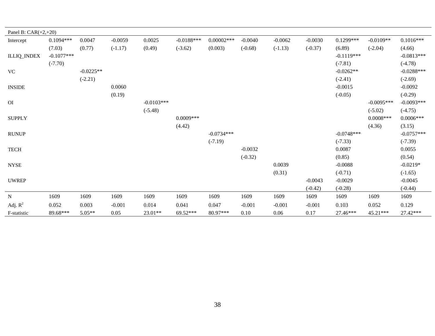| Panel B: $CAR(+2,+20)$       |              |             |           |              |              |              |           |           |           |              |              |              |
|------------------------------|--------------|-------------|-----------|--------------|--------------|--------------|-----------|-----------|-----------|--------------|--------------|--------------|
| Intercept                    | $0.1094***$  | 0.0047      | $-0.0059$ | 0.0025       | $-0.0188***$ | $0.00002***$ | $-0.0040$ | $-0.0062$ | $-0.0030$ | $0.1299***$  | $-0.0109**$  | $0.1016***$  |
|                              | (7.03)       | (0.77)      | $(-1.17)$ | (0.49)       | $(-3.62)$    | (0.003)      | $(-0.68)$ | $(-1.13)$ | $(-0.37)$ | (6.89)       | $(-2.04)$    | (4.66)       |
| <b>ILLIQ_INDEX</b>           | $-0.1077***$ |             |           |              |              |              |           |           |           | $-0.1119***$ |              | $-0.0813***$ |
|                              | $(-7.70)$    |             |           |              |              |              |           |           |           | $(-7.81)$    |              | $(-4.78)$    |
| <b>VC</b>                    |              | $-0.0225**$ |           |              |              |              |           |           |           | $-0.0262**$  |              | $-0.0288***$ |
|                              |              | $(-2.21)$   |           |              |              |              |           |           |           | $(-2.41)$    |              | $(-2.69)$    |
| <b>INSIDE</b>                |              |             | 0.0060    |              |              |              |           |           |           | $-0.0015$    |              | $-0.0092$    |
|                              |              |             | (0.19)    |              |              |              |           |           |           | $(-0.05)$    |              | $(-0.29)$    |
| O <sub>I</sub>               |              |             |           | $-0.0103***$ |              |              |           |           |           |              | $-0.0095***$ | $-0.0093***$ |
|                              |              |             |           | $(-5.48)$    |              |              |           |           |           |              | $(-5.02)$    | $(-4.75)$    |
| <b>SUPPLY</b>                |              |             |           |              | $0.0009***$  |              |           |           |           |              | $0.0008$ *** | $0.0006***$  |
|                              |              |             |           |              | (4.42)       |              |           |           |           |              | (4.36)       | (3.15)       |
| <b>RUNUP</b>                 |              |             |           |              |              | $-0.0734***$ |           |           |           | $-0.0748***$ |              | $-0.0757***$ |
|                              |              |             |           |              |              | $(-7.19)$    |           |           |           | $(-7.33)$    |              | $(-7.39)$    |
| <b>TECH</b>                  |              |             |           |              |              |              | $-0.0032$ |           |           | 0.0087       |              | 0.0055       |
|                              |              |             |           |              |              |              | $(-0.32)$ |           |           | (0.85)       |              | (0.54)       |
| $\ensuremath{\mathsf{NYSE}}$ |              |             |           |              |              |              |           | 0.0039    |           | $-0.0088$    |              | $-0.0219*$   |
|                              |              |             |           |              |              |              |           | (0.31)    |           | $(-0.71)$    |              | $(-1.65)$    |
| <b>UWREP</b>                 |              |             |           |              |              |              |           |           | $-0.0043$ | $-0.0029$    |              | $-0.0045$    |
|                              |              |             |           |              |              |              |           |           | $(-0.42)$ | $(-0.28)$    |              | $(-0.44)$    |
| ${\bf N}$                    | 1609         | 1609        | 1609      | 1609         | 1609         | 1609         | 1609      | 1609      | 1609      | 1609         | 1609         | 1609         |
| Adj. $R^2$                   | 0.052        | 0.003       | $-0.001$  | 0.014        | 0.041        | 0.047        | $-0.001$  | $-0.001$  | $-0.001$  | 0.103        | 0.052        | 0.129        |
| F-statistic                  | 89.68***     | $5.05**$    | 0.05      | $23.01**$    | 69.52***     | 80.97***     | 0.10      | 0.06      | 0.17      | 27.46***     | 45.21***     | 27.42***     |